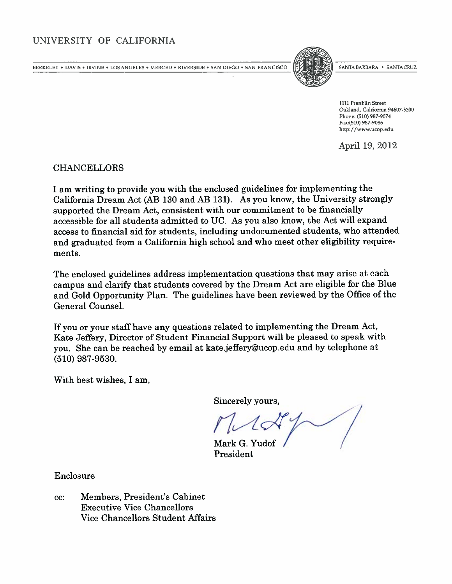# UNIVERSITY OF CALIFORNIA

BERKELEY • DAVIS • IRVINE • LOS ANGELES • MERCED • RIVERSIDE • SAN DIEGO • SAN FRANCISCO  $\left\|\tilde{P}\right\|$  santa barbara • Santa Cruz



1111 Franklin Street Oakland, California 94607-5200 Phone: (510) 987-9074 Fax:(510) 987-9086 http://www.ucop.edu

April 19, 2012

CHANCELLORS

<sup>I</sup> am writing to provide you with the enclosed guidelines for implementing the California Dream Act (AB <sup>130</sup> and AB 131). As you know, the University strongly supported the Dream Act, consistent with our commitment to be financially accessible for all students admitted to UC. As you also know, the Act will expand access to financial aid for students, including undocumented students, who attended and graduated from <sup>a</sup> California high school and who meet other eligibility require ments.

The enclosed guidelines address implementation questions that may arise at each campus and clarify that students covered by the Dream Act are eligible for the Blue and Gold Opportunity Plan. The guidelines have been reviewed by the Office of the General Counsel.

If you or your staff have any questions related to implementing the Dream Act, Kate Jeffery, Director of Student Financial Support will be pleased to speak with you. She can be reached by email at kate.jeffery@ucop.edu and by telephone at (510) 987-9530.

With best wishes, I am,

Sincerely yours,

Mark G. Yudof President

Enclosure

cc: Members, President's Cabinet Executive Vice Chancellors Vice Chancellors Student Affairs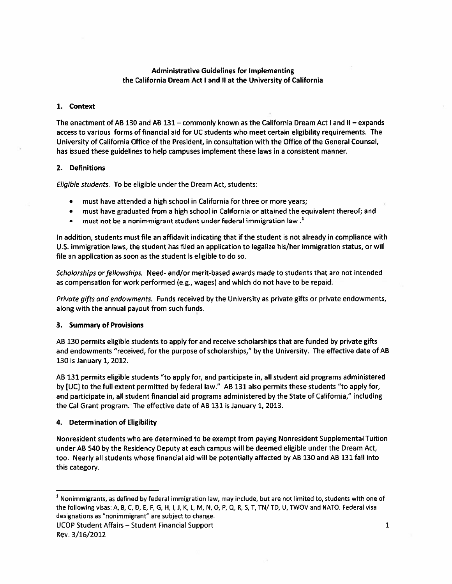## Administrative Guidelines for Implementing the California Dream Act <sup>I</sup> and II at the University of California

#### 1. Context

The enactment of AB 130 and AB 131 – commonly known as the California Dream Act I and II – expands access to various forms of financial aid for UC students who meet certain eligibility requirements. The University of California Office of the President, in consultation with the Office of the General Counsel, has issued these guidelines to help campuses implement these laws in <sup>a</sup> consistent manner.

#### 2. Definitions

Eligible students. To be eligible under the Dream Act, students:

- must have attended <sup>a</sup> high school in California for three or more years;
- must have graduated from <sup>a</sup> high school in California or attained the equivalent thereof; and
- must not be a nonimmigrant student under federal immigration law.<sup>1</sup>

In addition, students must file an affidavit indicating that if the student is not already in compliance with U.S. immigration laws, the student has filed an application to legalize his/her immigration status, or will file an application as soon as the student is eligible to do so.

Scholarships or fellowships. Need- and/or merit-based awards made to students that are not intended as compensation for work performed (e.g., wages) and which do not have to be repaid.

Private gifts and endowments. Funds received by the University as private gifts or private endowments, along with the annual payout from such funds.

## 3. Summary of Provisions

AB 130 permits eligible students to apply for and receive scholarships that are funded by private gifts and endowments "received, for the purpose of scholarships," by the University. The effective date of AB 130 is January 1, 2012.

AB 131 permits eligible students "to apply for, and participate in, all student aid programs administered by [UC] to the full extent permitted by federal law." AB 131 also permits these students "to apply for, and participate in, all student financial aid programs administered by the State of California," including the Cal Grant program. The effective date of AB 131 is January 1, 2013.

# 4. Determination of Eligibility

Nonresident students who are determined to be exempt from paying Nonresident Supplemental Tuition under AB <sup>540</sup> by the Residency Deputy at each campus will be deemed eligible under the Dream Act, too. Nearly all students whose financial aid will be potentially affected by AB 130 and AB 131 fall into this category.

 $1$  Nonimmigrants, as defined by federal immigration law, may include, but are not limited to, students with one of the following visas: A, B, C, D, E, F, G, H, I, J, K, L, M, N, O, P, Q, R, S, T, TN/ TD, U, TWOV and NATO. Federal visa designations as "nonimmigrant" are subject to change.

UCOP Student Affairs — Student Financial Support Rev. 3/16/2012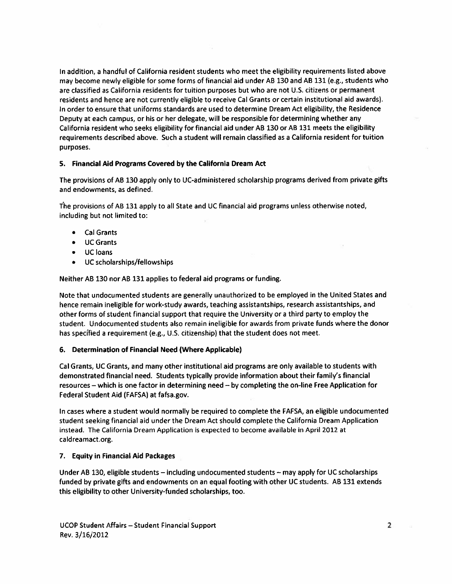In addition, <sup>a</sup> handful of California resident students who meet the eligibility requirements listed above may become newly eligible for some forms of financial aid under AB 130 and AR 131 (e.g., students who are classified as California residents for tuition purposes but who are not U.S. citizens or permanent residents and hence are not currently eligible to receive Cal Grants or certain institutional aid awards). In order to ensure that uniforms standards are used to determine Dream Act eligibility, the Residence Deputy at each campus, or his or her delegate, will be responsible for determining whether any California resident who seeks eligibility for financial aid under AB 130 or AR 131 meets the eligibility requirements described above. Such <sup>a</sup> student will remain classified as <sup>a</sup> California resident for tuition purposes.

## 5. Financial Aid Programs Covered by the California Dream Act

The provisions of AR <sup>130</sup> apply only to UC-administered scholarship programs derived from private gifts and endowments, as defined.

Tbe provisions of AB 131 apply to all State and UC financial aid programs unless otherwise noted, including but not limited to:

- Cal Grants
- UC Grants
- UCloans
- UC scholarships/fellowships

Neither AR 130 nor AR 131 applies to federal aid programs or funding.

Note that undocumented students are generally unauthorized to be employed in the United States and hence remain ineligible for work-study awards, teaching assistantships, research assistantships, and other forms of student financial support that require the University or <sup>a</sup> third party to employ the student. Undocumented students also remain ineligible for awards from private funds where the donor has specified <sup>a</sup> requirement (e.g., U.S. citizenship) that the student does not meet.

# 6. Determination of Financial Need (Where Applicable)

Cal Grants, UC Grants, and many other institutional aid programs are only available to students with demonstrated financial need. Students typically provide information about their family's financial resources — which is one factor in determining need — by completing the on-line Free Application for Federal Student Aid (FAFSA) at fafsa.gov.

In cases where <sup>a</sup> student would normally be required to complete the FAFSA, an eligible undocumented student seeking financial aid under the Dream Act should complete the California Dream Application instead. The California Dream Application is expected to become available in April <sup>2012</sup> at caldreamact.org.

# 7. Equity in Financial Aid Packages

Under AR 130, eligible students — including undocumented students — may apply for UC scholarships funded by private gifts and endowments on an equal footing with other UC students. AB 131 extends this eligibility to other University-funded scholarships, too.